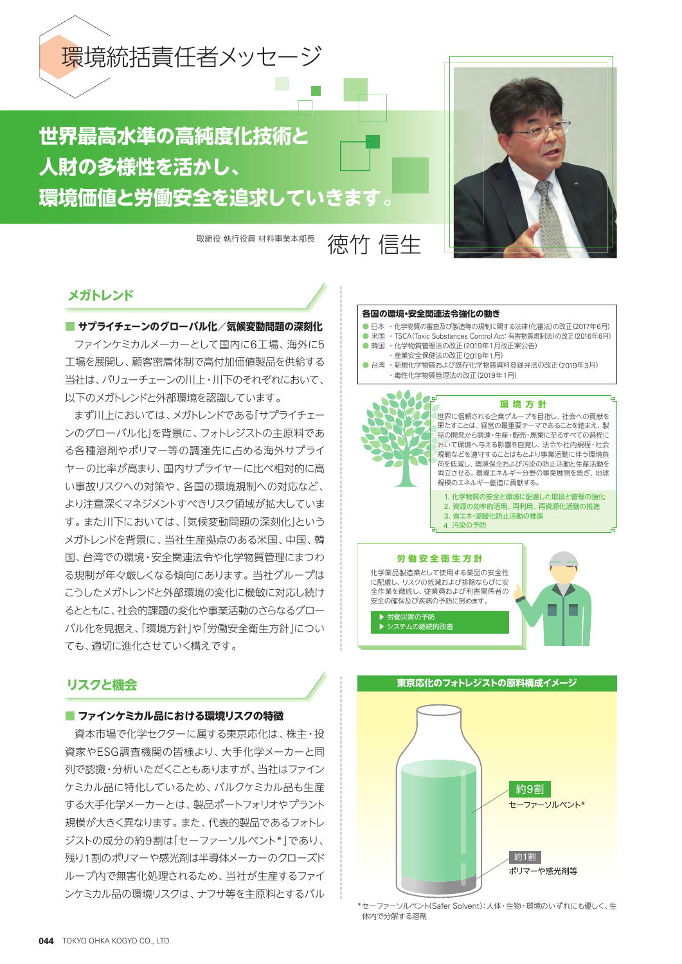

# **世界最高水準の高純度化技術と 人財の多様性を活かし、 環境価値と労働安全を追求していきます。**

取締役 執行役員 材料事業本部長 徳太子 信牛



### **メガトレンド**

**■ サプライチェーンのグローバル化/気候変動問題の深刻化** ファインケミカルメーカーとして国内に6工場、海外に5 工場を展開し、顧客密着体制で高付加価値製品を供給する 当社は、バリューチェーンの川上・川下のそれぞれにおいて、 以下のメガトレンドと外部環境を認識しています。

まず川上においては、メガトレンドである「サプライチェー ンのグローバル化」を背景に、フォトレジストの主原料であ る各種溶剤やポリマー等の調達先に占める海外サプライ ヤーの比率が高まり、国内サプライヤーに比べ相対的に高 い事故リスクへの対策や、各国の環境規制への対応など、 より注意深くマネジメントすべきリスク領域が拡大していま す。また川下においては、「気候変動問題の深刻化」という メガトレンドを背景に、当社生産拠点のある米国、中国、韓 国、台湾での環境・安全関連法令や化学物質管理にまつわ る規制が年々厳しくなる傾向にあります。当社グループは こうしたメガトレンドと外部環境の変化に機敏に対応し続け るとともに、社会的課題の変化や事業活動のさらなるグロー バル化を見据え、「環境方針」や「労働安全衛生方針」につい ても、適切に進化させていく構えです。

### **リスクと機会**

### **■ ファインケミカル品における環境リスクの特徴**

資本市場で化学セクターに属する東京応化は、株主・投 資家やESG調査機関の皆様より、大手化学メーカーと同 列で認識・分析いただくこともありますが、当社はファイン ケミカル品に特化しているため、バルクケミカル品も生産 する大手化学メーカーとは、製品ポートフォリオやプラント 規模が大きく異なります。また、代表的製品であるフォトレ ジストの成分の約9割は「セーファーソルベント\*」であり、 残り1割のポリマーや感光剤は半導体メーカーのクローズド ループ内で無害化処理されるため、当社が生産するファイ ンケミカル品の環境リスクは、ナフサ等を主原料とするバル

#### **各国の環境・安全関連法令強化の動き**

- 日本 ・化学物質の審査及び製造等の規制に関する法律(化審法)の改正(2017年6月)
- 米国 · TSCA(Toxic Substances Control Act: 有害物質規制法)の改正(2016年6月)
- 韓国 · 化学物質管理法の改正(2019年1月改正案公告) ・産業安全保健法の改正(2019年1月)
- 台湾 ・新規化学物質および既存化学物質資料登録弁法の改正(2019年3月) ・毒性化学物質管理法の改正(2019年1月)
- **労働安全衛生方針** 化学薬品製造業として使用する薬品の安全性 に配慮し、リスクの低減および排除ならびに安 **環境方針** 世界に信頼される企業グループを目指し、社会への貢献を 果たすことは、経営の最重要テーマであることを踏まえ、製 品の開発から調達・生産・販売・廃棄に至るすべての過程に おいて環境へ与える影響を自覚し、法令や社内規程・社会 規範などを遵守することはもとより事業活動に伴う環境負 荷を低減し、環境保全および汚染の防止活動と生産活動を 両立させる。環境エネルギー分野の事業展開を急ぎ、地球 規模のエネルギー創造に貢献する。 1. 化学物質の安全と環境に配慮した取扱と管理の強化 2. 資源の効率的活用、再利用、再資源化活動の推進 3. 省エネ・温暖化防止活動の推進 4. 汚染の予防

全作業を徹底し、従業員および利害関係者の 安全の確保及び疾病の予防に努めます。





<sup>\*</sup>セーファーソルベント(Safer Solvent):人体・生物・環境のいずれにも優しく、生 体内で分解する溶剤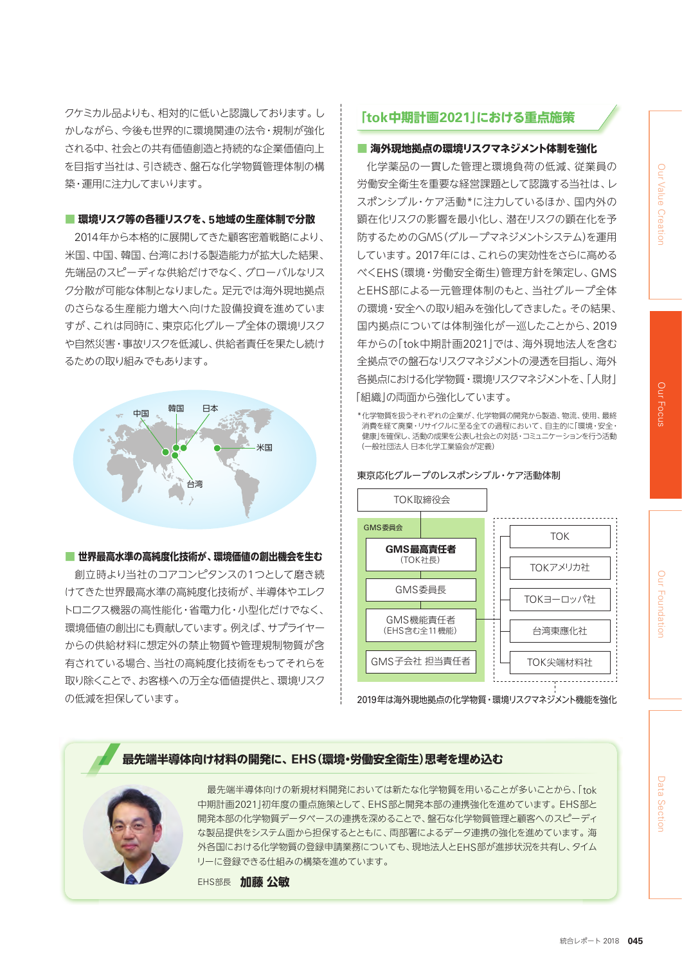Data Section

クケミカル品よりも、相対的に低いと認識しております。し かしながら、今後も世界的に環境関連の法令・規制が強化 される中、社会との共有価値創造と持続的な企業価値向上 を目指す当社は、引き続き、盤石な化学物質管理体制の構 築・運用に注力してまいります。

### **■ 環境リスク等の各種リスクを、5地域の生産体制で分散**

2014年から本格的に展開してきた顧客密着戦略により、 米国、中国、韓国、台湾における製造能力が拡大した結果、 先端品のスピーディな供給だけでなく、グローバルなリス ク分散が可能な体制となりました。足元では海外現地拠点 のさらなる生産能力増大へ向けた設備投資を進めていま すが、これは同時に、東京応化グループ全体の環境リスク や自然災害・事故リスクを低減し、供給者責任を果たし続け るための取り組みでもあります。



#### **■ 世界最高水準の高純度化技術が、環境価値の創出機会を生む**

創立時より当社のコアコンピタンスの1つとして磨き続 けてきた世界最高水準の高純度化技術が、半導体やエレク トロニクス機器の高性能化・省電力化・小型化だけでなく、 環境価値の創出にも貢献しています。例えば、サプライヤー からの供給材料に想定外の禁止物質や管理規制物質が含 有されている場合、当社の高純度化技術をもってそれらを 取り除くことで、お客様への万全な価値提供と、環境リスク の低減を担保しています。

### **「tok中期計画2021」における重点施策**

### **■ 海外現地拠点の環境リスクマネジメント体制を強化**

化学薬品の一貫した管理と環境負荷の低減、従業員の 労働安全衛生を重要な経営課題として認識する当社は、レ スポンシブル・ケア活動\*に注力しているほか、国内外の 顕在化リスクの影響を最小化し、潜在リスクの顕在化を予 防するためのGMS(グループマネジメントシステム)を運用 しています。2017年には、これらの実効性をさらに高める べくEHS(環境・労働安全衛生)管理方針を策定し、GMS とEHS部による一元管理体制のもと、当社グループ全体 の環境・安全への取り組みを強化してきました。その結果、 国内拠点については体制強化が一巡したことから、2019 年からの「tok中期計画2021」では、海外現地法人を含む 全拠点での盤石なリスクマネジメントの浸透を目指し、海外 各拠点における化学物質・環境リスクマネジメントを、「人財」 「組織」の両面から強化しています。

\*化学物質を扱うそれぞれの企業が、化学物質の開発から製造、物流、使用、最終 消費を経て廃棄・リサイクルに至る全ての過程において、自主的に「環境・安全・ 健康」を確保し、活動の成果を公表し社会との対話・コミュニケーションを行う活動 (一般社団法人 日本化学工業協会が定義)

東京応化グループのレスポンシブル・ケア活動体制



2019年は海外現地拠点の化学物質・環境リスクマネジメント機能を強化

### **最先端半導体向け材料の開発に、EHS(環境・労働安全衛生)思考を埋め込む**



最先端半導体向けの新規材料開発においては新たな化学物質を用いることが多いことから、「tok 中期計画2021」初年度の重点施策として、EHS部と開発本部の連携強化を進めています。EHS部と 開発本部の化学物質データベースの連携を深めることで、盤石な化学物質管理と顧客へのスピーディ な製品提供をシステム面から担保するとともに、両部署によるデータ連携の強化を進めています。海 外各国における化学物質の登録申請業務についても、現地法人とEHS部が進捗状況を共有し、タイム リーに登録できる仕組みの構築を進めています。

EHS部長 **加藤 公敏**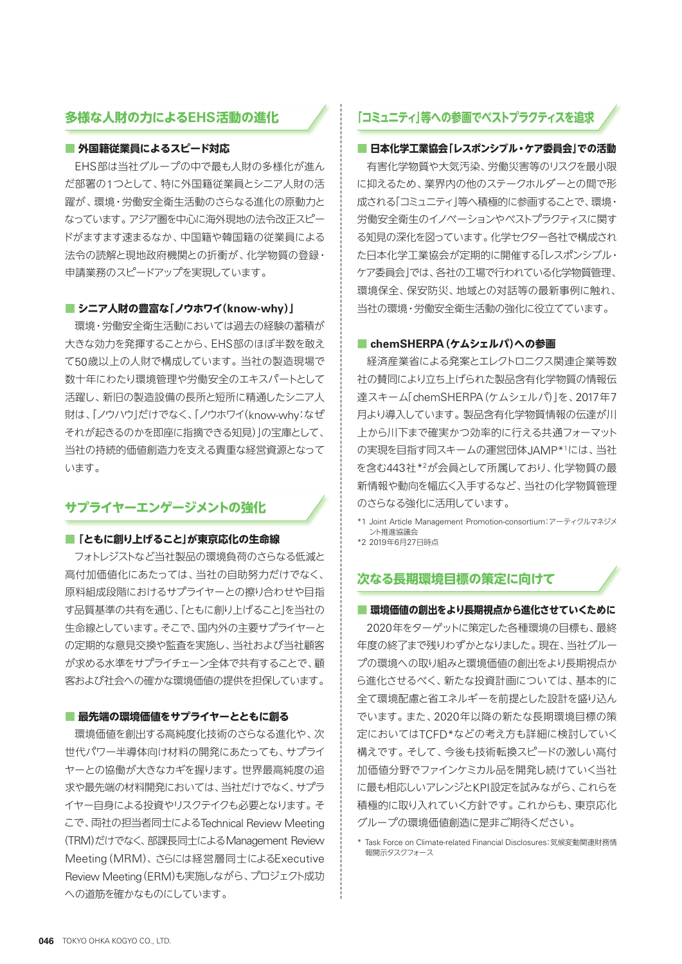### **多様な人財の力によるEHS活動の進化**

### **■ 外国籍従業員によるスピード対応**

EHS部は当社グループの中で最も人財の多様化が進ん だ部署の1つとして、特に外国籍従業員とシニア人財の活 躍が、環境・労働安全衛生活動のさらなる進化の原動力と なっています。アジア圏を中心に海外現地の法令改正スピー ドがますます速まるなか、中国籍や韓国籍の従業員による 法令の読解と現地政府機関との折衝が、化学物質の登録・ 申請業務のスピードアップを実現しています。

### **■ シニア人財の豊富な「ノウホワイ(know-why)」**

環境・労働安全衛生活動においては過去の経験の蓄積が 大きな効力を発揮することから、EHS部のほぼ半数を敢え て50歳以上の人財で構成しています。当社の製造現場で 数十年にわたり環境管理や労働安全のエキスパートとして 活躍し、新旧の製造設備の長所と短所に精通したシニア人 財は、「ノウハウ」だけでなく、「ノウホワイ(know-why:なぜ それが起きるのかを即座に指摘できる知見)」の宝庫として、 当社の持続的価値創造力を支える貴重な経営資源となって います。

### **サプライヤーエンゲージメントの強化**

#### **■「ともに創り上げること」が東京応化の生命線**

フォトレジストなど当社製品の環境負荷のさらなる低減と 高付加価値化にあたっては、当社の自助努力だけでなく、 原料組成段階におけるサプライヤーとの擦り合わせや目指 す品質基準の共有を通じ、「ともに創り上げること」を当社の 生命線としています。そこで、国内外の主要サプライヤーと の定期的な意見交換や監査を実施し、当社および当社顧客 が求める水準をサプライチェーン全体で共有することで、顧 客および社会への確かな環境価値の提供を担保しています。

#### **■ 最先端の環境価値をサプライヤーとともに創る**

環境価値を創出する高純度化技術のさらなる進化や、次 世代パワー半導体向け材料の開発にあたっても、サプライ ヤーとの協働が大きなカギを握ります。世界最高純度の追 求や最先端の材料開発においては、当社だけでなく、サプラ イヤー自身による投資やリスクテイクも必要となります。そ こで、両社の担当者同士によるTechnical Review Meeting (TRM)だけでなく、部課長同士によるManagement Review Meeting(MRM)、さらには経営層同士によるExecutive Review Meeting(ERM)も実施しながら、プロジェクト成功 への道筋を確かなものにしています。

### **「コミュニティ」等への参画でベストプラクティスを追求**

### **■ 日本化学工業協会「レスポンシブル・ケア委員会」での活動**

有害化学物質や大気汚染、労働災害等のリスクを最小限 に抑えるため、業界内の他のステークホルダーとの間で形 成される「コミュニティ」等へ積極的に参画することで、環境・ 労働安全衛生のイノベーションやベストプラクティスに関す る知見の深化を図っています。化学セクター各社で構成され た日本化学工業協会が定期的に開催する「レスポンシブル・ ケア委員会」では、各社の工場で行われている化学物質管理、 環境保全、保安防災、地域との対話等の最新事例に触れ、 当社の環境・労働安全衛生活動の強化に役立てています。

#### **■ chemSHERPA(ケムシェルパ)への参画**

経済産業省による発案とエレクトロニクス関連企業等数 社の賛同により立ち上げられた製品含有化学物質の情報伝 達スキーム「chemSHERPA(ケムシェルパ)」を、2017年7 月より導入しています。製品含有化学物質情報の伝達が川 上から川下まで確実かつ効率的に行える共通フォーマット の実現を目指す同スキームの運営団体JAMP\*1には、当社 を含む443社\*2が会員として所属しており、化学物質の最 新情報や動向を幅広く入手するなど、当社の化学物質管理 のさらなる強化に活用しています。

\*1 Joint Article Management Promotion-consortium:アーティクルマネジメ ント推進協議会

\*2 2019年6月27日時点

### **次なる長期環境目標の策定に向けて**

### **■ 環境価値の創出をより長期視点から進化させていくために**

2020年をターゲットに策定した各種環境の目標も、最終 年度の終了まで残りわずかとなりました。現在、当社グルー プの環境への取り組みと環境価値の創出をより長期視点か ら進化させるべく、新たな投資計画については、基本的に 全て環境配慮と省エネルギーを前提とした設計を盛り込ん でいます。また、2020年以降の新たな長期環境目標の策 定においてはTCFD\*などの考え方も詳細に検討していく 構えです。そして、今後も技術転換スピードの激しい高付 加価値分野でファインケミカル品を開発し続けていく当社 に最も相応しいアレンジとKPI設定を試みながら、これらを 積極的に取り入れていく方針です。これからも、東京応化 グループの環境価値創造に是非ご期待ください。

\* Task Force on Climate-related Financial Disclosures:気候変動関連財務情 報開示タスクフォース